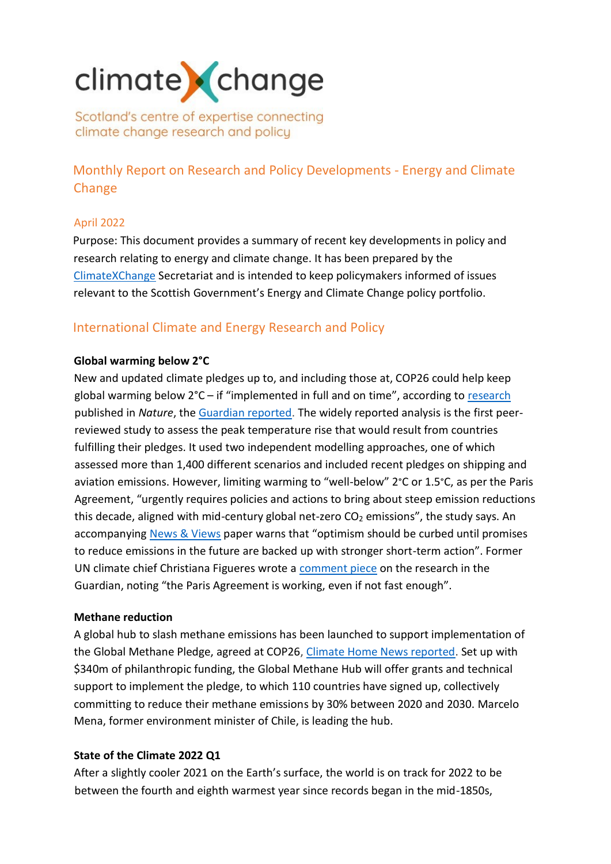# climate change

Scotland's centre of expertise connecting climate change research and policy

Monthly Report on Research and Policy Developments - Energy and Climate Change

# April 2022

Purpose: This document provides a summary of recent key developments in policy and research relating to energy and climate change. It has been prepared by the [ClimateXChange](http://www.climatexchange.org.uk/) Secretariat and is intended to keep policymakers informed of issues relevant to the Scottish Government's Energy and Climate Change policy portfolio.

# International Climate and Energy Research and Policy

# **Global warming below 2°C**

New and updated climate pledges up to, and including those at, COP26 could help keep global warming below 2°C – if "implemented in full and on time", according to [research](https://www.nature.com/articles/s41586-022-04553-z) published in *Nature*, the [Guardian reported.](https://www.theguardian.com/environment/2022/apr/13/historic-global-climate-plans-can-now-keep-heating-below-2c-study-shows) The widely reported analysis is the first peerreviewed study to assess the peak temperature rise that would result from countries fulfilling their pledges. It used two independent modelling approaches, one of which assessed more than 1,400 different scenarios and included recent pledges on shipping and aviation emissions. However, limiting warming to "well-below" 2°C or 1.5°C, as per the Paris Agreement, "urgently requires policies and actions to bring about steep emission reductions this decade, aligned with mid-century global net-zero  $CO<sub>2</sub>$  emissions", the study says. An accompanying [News & Views](https://www.nature.com/articles/d41586-022-00874-1) paper warns that "optimism should be curbed until promises to reduce emissions in the future are backed up with stronger short-term action". Former UN climate chief Christiana Figueres wrote a [comment piece](https://www.theguardian.com/commentisfree/2022/apr/19/global-heating-2c-climate-paris-agreement) on the research in the Guardian, noting "the Paris Agreement is working, even if not fast enough".

# **Methane reduction**

A global hub to slash methane emissions has been launched to support implementation of the Global Methane Pledge, agreed at COP26, [Climate Home News reported.](https://www.climatechangenews.com/2022/04/05/global-hub-launched-to-help-countries-slash-methane-emissions/) Set up with \$340m of philanthropic funding, the Global Methane Hub will offer grants and technical support to implement the pledge, to which 110 countries have signed up, collectively committing to reduce their methane emissions by 30% between 2020 and 2030. Marcelo Mena, former environment minister of Chile, is leading the hub.

# **State of the Climate 2022 Q1**

After a slightly cooler 2021 on the Earth's surface, the world is on track for 2022 to be between the fourth and eighth warmest year since records began in the mid-1850s,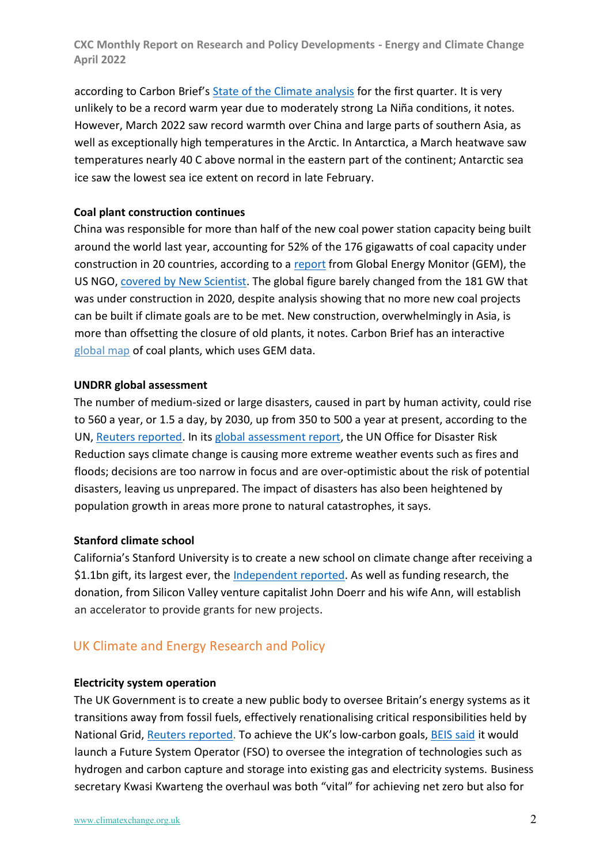according to Carbon Brief's [State of the Climate analysis](https://www.carbonbrief.org/state-of-the-climate-start-of-2022-is-the-fifth-warmest-on-record) for the first quarter. It is very unlikely to be a record warm year due to moderately strong La Niña conditions, it notes. However, March 2022 saw record warmth over China and large parts of southern Asia, as well as exceptionally high temperatures in the Arctic. In Antarctica, a March heatwave saw temperatures nearly 40 C above normal in the eastern part of the continent; Antarctic sea ice saw the lowest sea ice extent on record in late February.

#### **Coal plant construction continues**

China was responsible for more than half of the new coal power station capacity being built around the world last year, accounting for 52% of the 176 gigawatts of coal capacity under construction in 20 countries, according to a [report](https://globalenergymonitor.org/report/boom-and-bust-coal-2022/) from Global Energy Monitor (GEM), the US NGO, [covered by New Scientist.](https://www.newscientist.com/article/2317274-china-is-building-more-than-half-of-the-worlds-new-coal-power-plants/#ixzz7SsUbtx1J) The global figure barely changed from the 181 GW that was under construction in 2020, despite analysis showing that no more new coal projects can be built if climate goals are to be met. New construction, overwhelmingly in Asia, is more than offsetting the closure of old plants, it notes. Carbon Brief has an interactive [global map](http://click.revue.email/ss/c/41iAGPJjZJOWpePAl2nuCAO5AiLcVp2YyyubAsSsPwv6rRj26vjZoHKFk-G-wcbM-Cgo1pnJb0cwqfwqJC7vIcgt78HLvXBBYy78yY_0fHVrWnqgaybarDRxPdXcFOv7AsiFt_HXQl3pC7CqxYSHN71CplLva1xgY4f0q7-q-PNDoK_-toUGcsa9DuB-E_qJG7RepRJYsAVlcBwFh10jPbb4tiEDQEkEePP0Y8i2nfA/3lj/noHmKTcpQ36AajHsnsVA9w/h6/MJXp5Asmzu5--z_CwuO1I8SQn-W1iow9chsJZeYtXfM) of coal plants, which uses GEM data.

#### **UNDRR global assessment**

The number of medium-sized or large disasters, caused in part by human activity, could rise to 560 a year, or 1.5 a day, by 2030, up from 350 to 500 a year at present, according to the UN[, Reuters reported.](https://www.reuters.com/business/environment/human-activity-is-leading-more-disasters-un-report-2022-04-25/) In its [global assessment report,](https://www.undrr.org/gar2022-our-world-risk) the UN Office for Disaster Risk Reduction says climate change is causing more extreme weather events such as fires and floods; decisions are too narrow in focus and are over-optimistic about the risk of potential disasters, leaving us unprepared. The impact of disasters has also been heightened by population growth in areas more prone to natural catastrophes, it says.

# **Stanford climate school**

California's Stanford University is to create a new school on climate change after receiving a \$1.1bn gift, its largest ever, the [Independent reported.](https://www.independent.co.uk/news/ap-stanford-new-york-american-google-b2071839.html) As well as funding research, the donation, from Silicon Valley venture capitalist John Doerr and his wife Ann, will establish an accelerator to provide grants for new projects.

# UK Climate and Energy Research and Policy

#### **Electricity system operation**

The UK Government is to create a new public body to oversee Britain's energy systems as it transitions away from fossil fuels, effectively renationalising critical responsibilities held by National Grid, [Reuters reported.](https://www.reuters.com/business/energy/britain-launch-public-system-operator-future-energy-mix-2022-04-06/) To achieve the UK's low-carbon goals[, BEIS said](https://assets.publishing.service.gov.uk/government/uploads/system/uploads/attachment_data/file/1066720/future-system-operator-consultation-govt-response.pdf) it would launch a Future System Operator (FSO) to oversee the integration of technologies such as hydrogen and carbon capture and storage into existing gas and electricity systems. Business secretary Kwasi Kwarteng the overhaul was both "vital" for achieving net zero but also for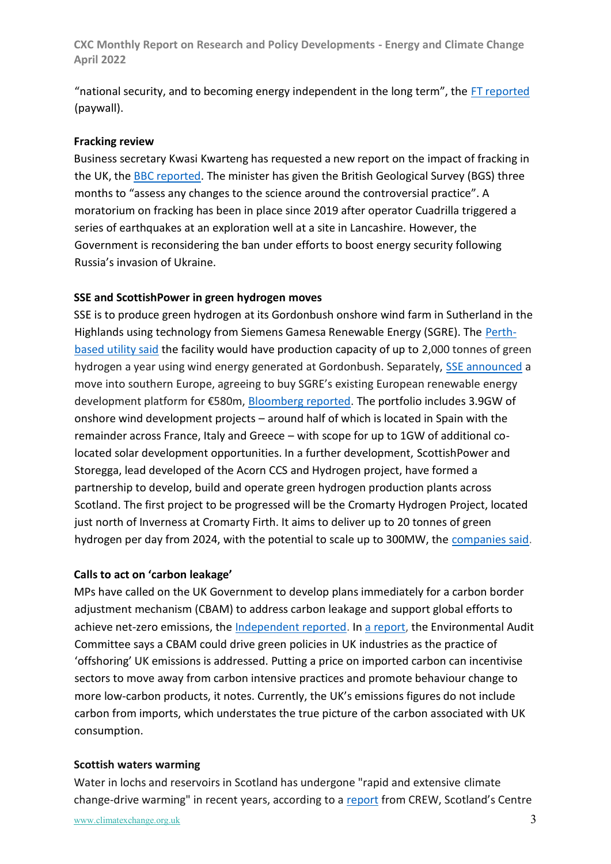"national security, and to becoming energy independent in the long term", the [FT reported](https://www.ft.com/content/1bec74ab-6781-4220-8752-f3b404e3dcd3) (paywall).

#### **Fracking review**

Business secretary Kwasi Kwarteng has requested a new report on the impact of fracking in the UK, the [BBC reported.](https://www.bbc.co.uk/news/uk-politics-60999026) The minister has given the British Geological Survey (BGS) three months to "assess any changes to the science around the controversial practice". A moratorium on fracking has been in place since 2019 after operator Cuadrilla triggered a series of earthquakes at an exploration well at a site in Lancashire. However, the Government is reconsidering the ban under efforts to boost energy security following Russia's invasion of Ukraine.

#### **SSE and ScottishPower in green hydrogen moves**

SSE is to produce green hydrogen at its Gordonbush onshore wind farm in Sutherland in the Highlands using technology from Siemens Gamesa Renewable Energy (SGRE). The [Perth](https://www.sserenewables.com/news-and-views/2022/04/sse-steps-up-green-hydrogen-push-with-new-gordonbush-project/)[based utility said](https://www.sserenewables.com/news-and-views/2022/04/sse-steps-up-green-hydrogen-push-with-new-gordonbush-project/) the facility would have production capacity of up to 2,000 tonnes of green hydrogen a year using wind energy generated at Gordonbush. Separately, [SSE announced](https://www.sse.com/news-and-views/2022/04/sse-s-renewables-business-acquires-european-onshore-wind-platform-from-siemens-gamesa-renewable-energy/) a move into southern Europe, agreeing to buy SGRE's existing European renewable energy development platform for €580m, [Bloomberg reported.](https://www.bloomberg.com/news/articles/2022-04-19/siemens-gamesa-sells-renewable-portfolio-to-sse-for-626-million) The portfolio includes 3.9GW of onshore wind development projects – around half of which is located in Spain with the remainder across France, Italy and Greece – with scope for up to 1GW of additional colocated solar development opportunities. In a further development, ScottishPower and Storegga, lead developed of the Acorn CCS and Hydrogen project, have formed a partnership to develop, build and operate green hydrogen production plants across Scotland. The first project to be progressed will be the Cromarty Hydrogen Project, located just north of Inverness at Cromarty Firth. It aims to deliver up to 20 tonnes of green hydrogen per day from 2024, with the potential to scale up to 300MW, the [companies said.](https://www.storegga.earth/news/2022/press-releases/scottishpower-and-storegga-form-green-hydrogen-partnership-to-transform-industry-in-the-highlands/)

#### **Calls to act on 'carbon leakage'**

MPs have called on the UK Government to develop plans immediately for a carbon border adjustment mechanism (CBAM) to address carbon leakage and support global efforts to achieve net-zero emissions, the [Independent reported.](https://www.independent.co.uk/climate-change/government-carbon-border-imports-emissions-b2049989.html) In [a report,](https://committees.parliament.uk/committee/62/environmental-audit-committee/news/165276/eac-calls-for-work-on-a-unilateral-cbam-to-commence-immediately/) the Environmental Audit Committee says a CBAM could drive green policies in UK industries as the practice of 'offshoring' UK emissions is addressed. Putting a price on imported carbon can incentivise sectors to move away from carbon intensive practices and promote behaviour change to more low-carbon products, it notes. Currently, the UK's emissions figures do not include carbon from imports, which understates the true picture of the carbon associated with UK consumption.

#### **Scottish waters warming**

Water in lochs and reservoirs in Scotland has undergone "rapid and extensive climate change-drive warming" in recent years, according to a [report](https://www.crew.ac.uk/publication/assessing-climate-change-impacts-water-quality-scottish-standing-waters) from CREW, Scotland's Centre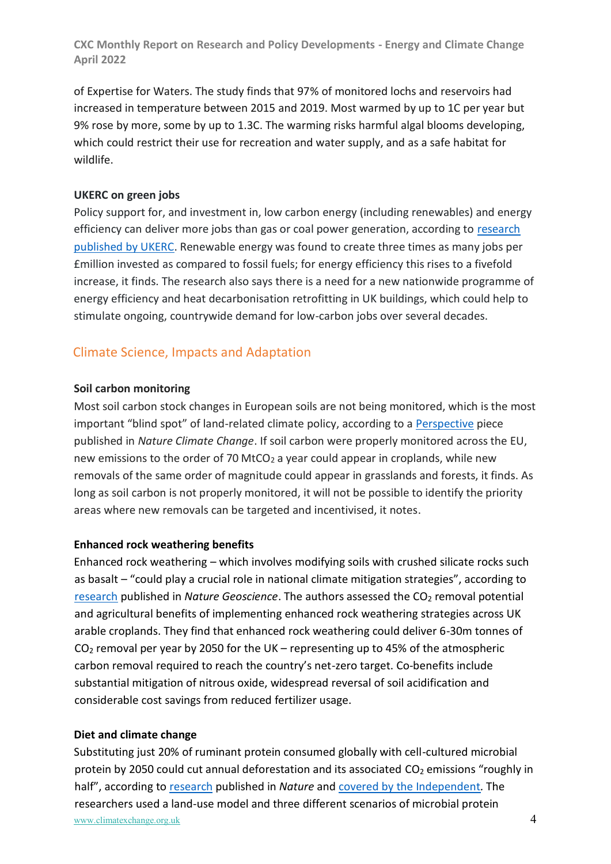of Expertise for Waters. The study finds that 97% of monitored lochs and reservoirs had increased in temperature between 2015 and 2019. Most warmed by up to 1C per year but 9% rose by more, some by up to 1.3C. The warming risks harmful algal blooms developing, which could restrict their use for recreation and water supply, and as a safe habitat for wildlife.

### **UKERC on green jobs**

Policy support for, and investment in, low carbon energy (including renewables) and energy efficiency can deliver more jobs than gas or coal power generation, according to [research](https://ukerc.ac.uk/publications/green-jobs/)  [published by UKERC.](https://ukerc.ac.uk/publications/green-jobs/) Renewable energy was found to create three times as many jobs per £million invested as compared to fossil fuels; for energy efficiency this rises to a fivefold increase, it finds. The research also says there is a need for a new nationwide programme of energy efficiency and heat decarbonisation retrofitting in UK buildings, which could help to stimulate ongoing, countrywide demand for low-carbon jobs over several decades.

# Climate Science, Impacts and Adaptation

#### **Soil carbon monitoring**

Most soil carbon stock changes in European soils are not being monitored, which is the most important "blind spot" of land-related climate policy, according to a [Perspective](https://www.nature.com/articles/s41558-022-01321-9) piece published in *Nature Climate Change*. If soil carbon were properly monitored across the EU, new emissions to the order of 70 MtCO<sub>2</sub> a year could appear in croplands, while new removals of the same order of magnitude could appear in grasslands and forests, it finds. As long as soil carbon is not properly monitored, it will not be possible to identify the priority areas where new removals can be targeted and incentivised, it notes.

# **Enhanced rock weathering benefits**

Enhanced rock weathering – which involves modifying soils with crushed silicate rocks such as basalt – "could play a crucial role in national climate mitigation strategies", according to [research](https://www.nature.com/articles/s41561-022-00925-2) published in *Nature Geoscience*. The authors assessed the CO<sub>2</sub> removal potential and agricultural benefits of implementing enhanced rock weathering strategies across UK arable croplands. They find that enhanced rock weathering could deliver 6-30m tonnes of  $CO<sub>2</sub>$  removal per year by 2050 for the UK – representing up to 45% of the atmospheric carbon removal required to reach the country's net-zero target. Co-benefits include substantial mitigation of nitrous oxide, widespread reversal of soil acidification and considerable cost savings from reduced fertilizer usage.

# **Diet and climate change**

www.climatexchange.org.uk 4 Substituting just 20% of ruminant protein consumed globally with cell-cultured microbial protein by 2050 could cut annual deforestation and its associated  $CO<sub>2</sub>$  emissions "roughly in half", according to [research](https://www.nature.com/articles/s41586-022-04629-w) published in *Nature* an[d covered by the Independent](https://www.independent.co.uk/climate-change/news/replacing-20-of-beef-with-fungi-alternative-could-halve-deforestation-study-b2071529.html)*.* The researchers used a land-use model and three different scenarios of microbial protein